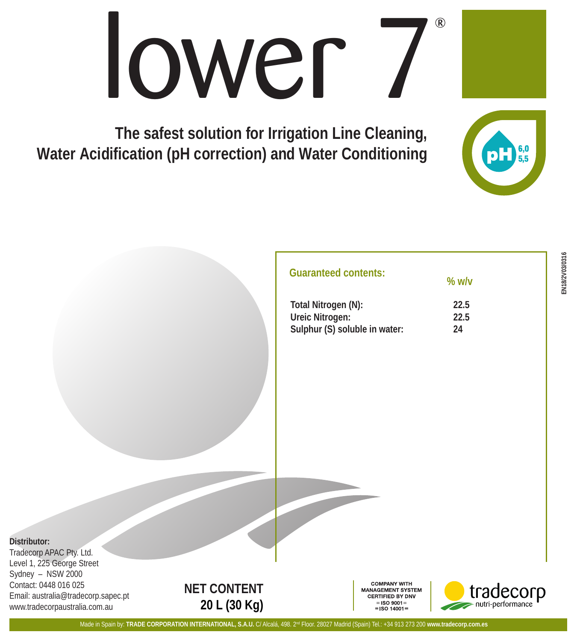## $\mathcal{R}$ lower

**The safest solution for Irrigation Line Cleaning, Water Acidification (pH correction) and Water Conditioning**



| Total Nitrogen (N):           | 22.5 |
|-------------------------------|------|
| Ureic Nitrogen:               | 22.5 |
| Sulphur (S) soluble in water: | 24   |

**% w/v**

Tradecorp APAC Pty. Ltd. Level 1, 225 George Street Sydney – NSW 2000 Contact: 0448 016 025 Email: australia@tradecorp.sapec.pt www.tradecorpaustralia.com.au



**COMPANY WITH ANAGEMENT SYSTEM CERTIFIED BY DNV**  $=$ ISO 9001 $=$  $=$  ISO 14001=



 $6,0$ <br>55